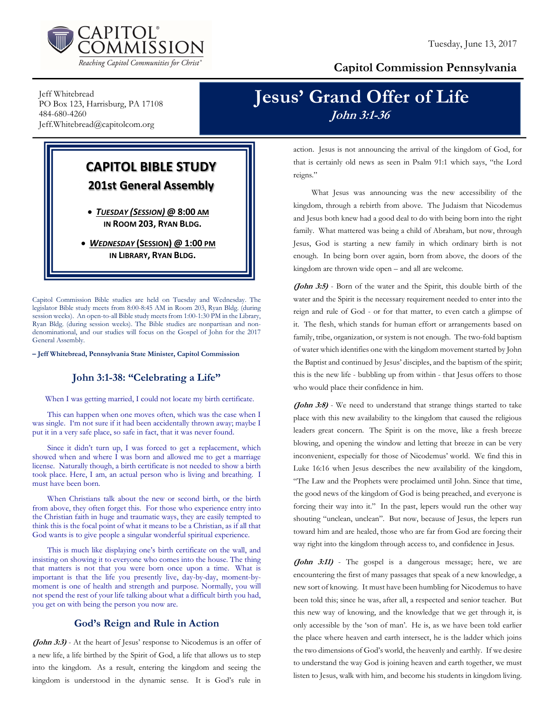

### Capitol Commission Pennsylvania

Jeff Whitebread PO Box 123, Harrisburg, PA 17108 484-680-4260 Jeff.Whitebread@capitolcom.org

# Jesus' Grand Offer of Life John 3:1-36

## CAPITOL BIBLE STUDY 201st General Assembly

 TUESDAY (SESSION) @ 8:00 AM IN ROOM 203, RYAN BLDG.

• WEDNESDAY (SESSION) @ 1:00 PM IN LIBRARY, RYAN BLDG.

Capitol Commission Bible studies are held on Tuesday and Wednesday. The legislator Bible study meets from 8:00-8:45 AM in Room 203, Ryan Bldg. (during session weeks). An open-to-all Bible study meets from 1:00-1:30 PM in the Library, Ryan Bldg. (during session weeks). The Bible studies are nonpartisan and nondenominational, and our studies will focus on the Gospel of John for the 2017 General Assembly.

– Jeff Whitebread, Pennsylvania State Minister, Capitol Commission

### John 3:1-38: "Celebrating a Life"

When I was getting married, I could not locate my birth certificate.

 This can happen when one moves often, which was the case when I was single. I'm not sure if it had been accidentally thrown away; maybe I put it in a very safe place, so safe in fact, that it was never found.

 Since it didn't turn up, I was forced to get a replacement, which showed when and where I was born and allowed me to get a marriage license. Naturally though, a birth certificate is not needed to show a birth took place. Here, I am, an actual person who is living and breathing. I must have been born.

 When Christians talk about the new or second birth, or the birth from above, they often forget this. For those who experience entry into the Christian faith in huge and traumatic ways, they are easily tempted to think this is the focal point of what it means to be a Christian, as if all that God wants is to give people a singular wonderful spiritual experience.

 This is much like displaying one's birth certificate on the wall, and insisting on showing it to everyone who comes into the house. The thing that matters is not that you were born once upon a time. What is important is that the life you presently live, day-by-day, moment-bymoment is one of health and strength and purpose. Normally, you will not spend the rest of your life talking about what a difficult birth you had, you get on with being the person you now are.

#### God's Reign and Rule in Action

(John 3:3) - At the heart of Jesus' response to Nicodemus is an offer of a new life, a life birthed by the Spirit of God, a life that allows us to step into the kingdom. As a result, entering the kingdom and seeing the kingdom is understood in the dynamic sense. It is God's rule in

action. Jesus is not announcing the arrival of the kingdom of God, for that is certainly old news as seen in Psalm 91:1 which says, "the Lord reigns."

 What Jesus was announcing was the new accessibility of the kingdom, through a rebirth from above. The Judaism that Nicodemus and Jesus both knew had a good deal to do with being born into the right family. What mattered was being a child of Abraham, but now, through Jesus, God is starting a new family in which ordinary birth is not enough. In being born over again, born from above, the doors of the kingdom are thrown wide open – and all are welcome.

(John 3:5) - Born of the water and the Spirit, this double birth of the water and the Spirit is the necessary requirement needed to enter into the reign and rule of God - or for that matter, to even catch a glimpse of it. The flesh, which stands for human effort or arrangements based on family, tribe, organization, or system is not enough. The two-fold baptism of water which identifies one with the kingdom movement started by John the Baptist and continued by Jesus' disciples, and the baptism of the spirit; this is the new life - bubbling up from within - that Jesus offers to those who would place their confidence in him.

(John 3:8) - We need to understand that strange things started to take place with this new availability to the kingdom that caused the religious leaders great concern. The Spirit is on the move, like a fresh breeze blowing, and opening the window and letting that breeze in can be very inconvenient, especially for those of Nicodemus' world. We find this in Luke 16:16 when Jesus describes the new availability of the kingdom, "The Law and the Prophets were proclaimed until John. Since that time, the good news of the kingdom of God is being preached, and everyone is forcing their way into it." In the past, lepers would run the other way shouting "unclean, unclean". But now, because of Jesus, the lepers run toward him and are healed, those who are far from God are forcing their way right into the kingdom through access to, and confidence in Jesus.

(John 3:11) - The gospel is a dangerous message; here, we are encountering the first of many passages that speak of a new knowledge, a new sort of knowing. It must have been humbling for Nicodemus to have been told this; since he was, after all, a respected and senior teacher. But this new way of knowing, and the knowledge that we get through it, is only accessible by the 'son of man'. He is, as we have been told earlier the place where heaven and earth intersect, he is the ladder which joins the two dimensions of God's world, the heavenly and earthly. If we desire to understand the way God is joining heaven and earth together, we must listen to Jesus, walk with him, and become his students in kingdom living.